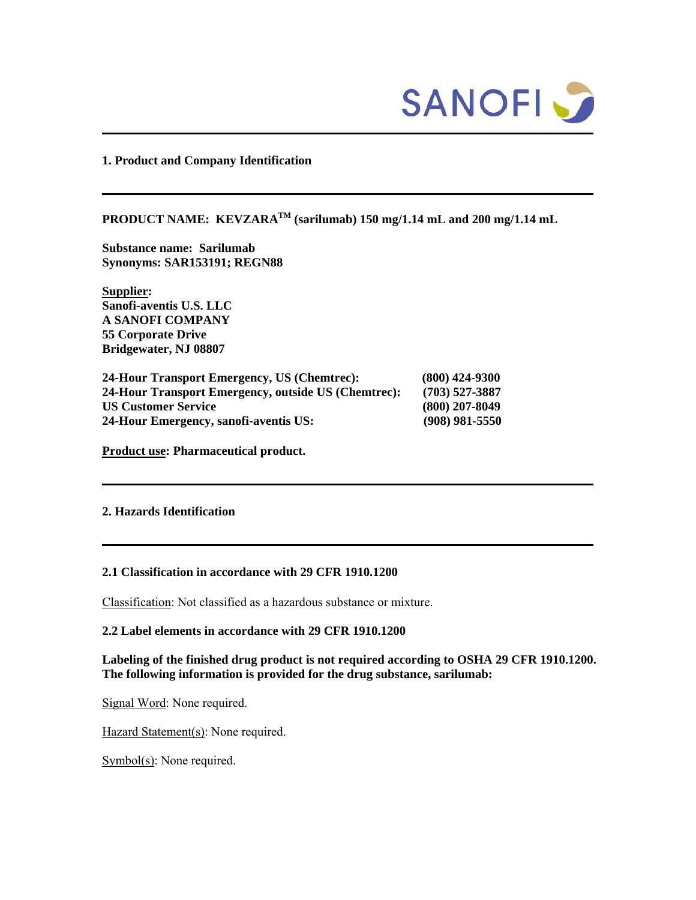

**1. Product and Company Identification** 

# PRODUCT NAME: KEVZARA<sup>TM</sup> (sarilumab) 150 mg/1.14 mL and 200 mg/1.14 mL

**Substance name: Sarilumab Synonyms: SAR153191; REGN88** 

**Supplier: Sanofi-aventis U.S. LLC A SANOFI COMPANY 55 Corporate Drive Bridgewater, NJ 08807** 

| 24-Hour Transport Emergency, US (Chemtrec):         | $(800)$ 424-9300 |
|-----------------------------------------------------|------------------|
| 24-Hour Transport Emergency, outside US (Chemtrec): | $(703)$ 527-3887 |
| <b>US Customer Service</b>                          | $(800)$ 207-8049 |
| 24-Hour Emergency, sanofi-aventis US:               | $(908)$ 981-5550 |

**Product use: Pharmaceutical product.** 

### **2. Hazards Identification**

#### **2.1 Classification in accordance with 29 CFR 1910.1200**

Classification: Not classified as a hazardous substance or mixture.

# **2.2 Label elements in accordance with 29 CFR 1910.1200**

**Labeling of the finished drug product is not required according to OSHA 29 CFR 1910.1200. The following information is provided for the drug substance, sarilumab:** 

Signal Word: None required.

Hazard Statement(s): None required.

Symbol(s): None required.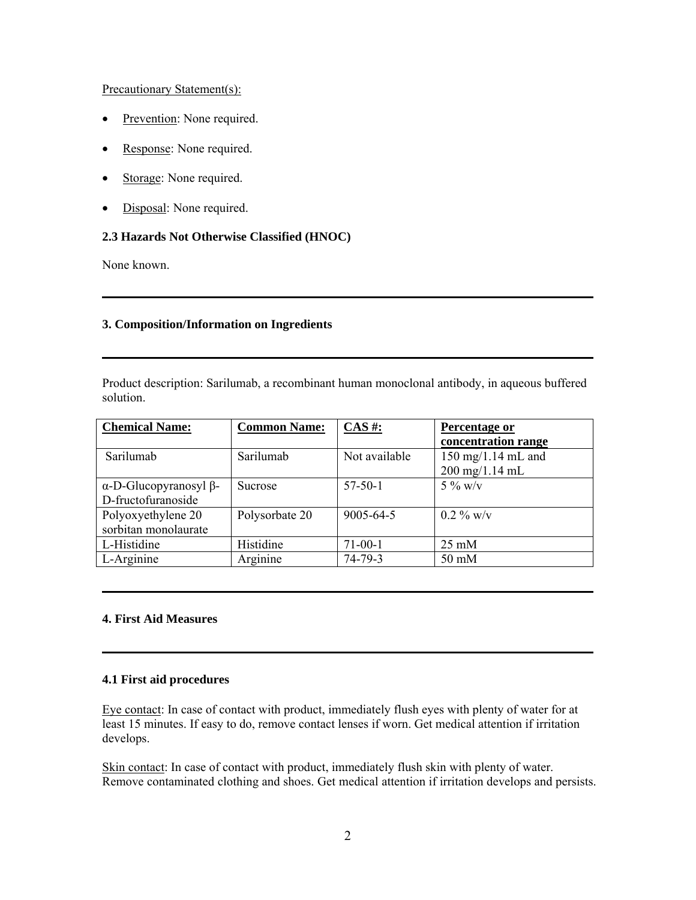# Precautionary Statement(s):

- Prevention: None required.
- Response: None required.
- Storage: None required.
- Disposal: None required.

# **2.3 Hazards Not Otherwise Classified (HNOC)**

None known.

# **3. Composition/Information on Ingredients**

Product description: Sarilumab, a recombinant human monoclonal antibody, in aqueous buffered solution.

| <b>Chemical Name:</b>    | <b>Common Name:</b> | $CAS$ #:      | Percentage or                                                            |
|--------------------------|---------------------|---------------|--------------------------------------------------------------------------|
|                          |                     |               | concentration range                                                      |
| Sarilumab                | Sarilumab           | Not available | $150 \text{ mg}/1.14 \text{ mL}$ and<br>$200 \text{ mg}/1.14 \text{ mL}$ |
| $α$ -D-Glucopyranosyl β- | <b>Sucrose</b>      | $57 - 50 - 1$ | 5 % w/v                                                                  |
| D-fructofuranoside       |                     |               |                                                                          |
| Polyoxyethylene 20       | Polysorbate 20      | 9005-64-5     | $0.2\%$ w/v                                                              |
| sorbitan monolaurate     |                     |               |                                                                          |
| L-Histidine              | Histidine           | $71-00-1$     | $25 \text{ mM}$                                                          |
| L-Arginine               | Arginine            | 74-79-3       | 50 mM                                                                    |

# **4. First Aid Measures**

### **4.1 First aid procedures**

Eye contact: In case of contact with product, immediately flush eyes with plenty of water for at least 15 minutes. If easy to do, remove contact lenses if worn. Get medical attention if irritation develops.

Skin contact: In case of contact with product, immediately flush skin with plenty of water. Remove contaminated clothing and shoes. Get medical attention if irritation develops and persists.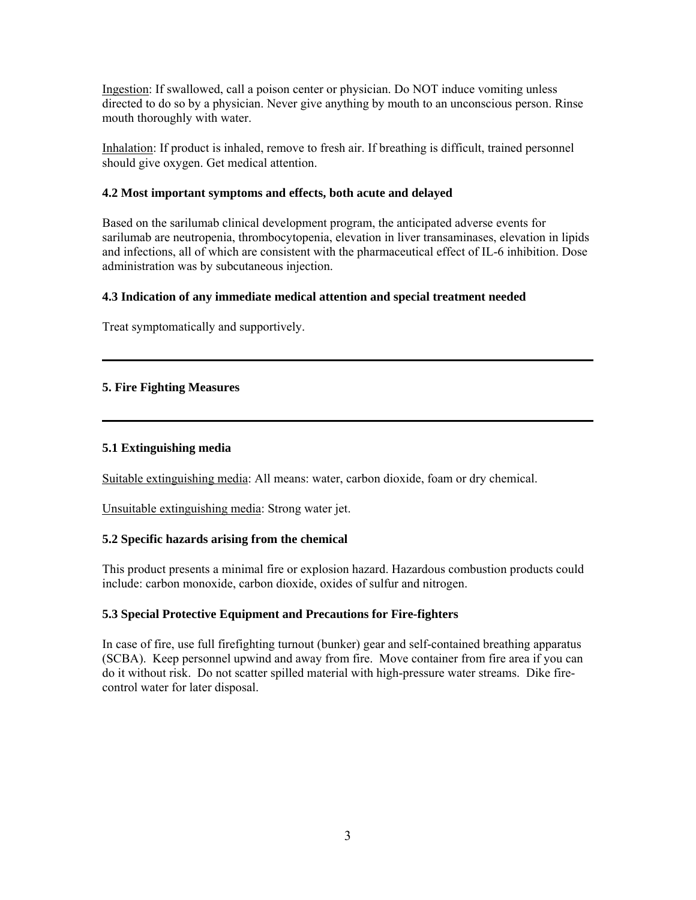Ingestion: If swallowed, call a poison center or physician. Do NOT induce vomiting unless directed to do so by a physician. Never give anything by mouth to an unconscious person. Rinse mouth thoroughly with water.

Inhalation: If product is inhaled, remove to fresh air. If breathing is difficult, trained personnel should give oxygen. Get medical attention.

## **4.2 Most important symptoms and effects, both acute and delayed**

Based on the sarilumab clinical development program, the anticipated adverse events for sarilumab are neutropenia, thrombocytopenia, elevation in liver transaminases, elevation in lipids and infections, all of which are consistent with the pharmaceutical effect of IL-6 inhibition. Dose administration was by subcutaneous injection.

# **4.3 Indication of any immediate medical attention and special treatment needed**

Treat symptomatically and supportively.

# **5. Fire Fighting Measures**

## **5.1 Extinguishing media**

Suitable extinguishing media: All means: water, carbon dioxide, foam or dry chemical.

Unsuitable extinguishing media: Strong water jet.

# **5.2 Specific hazards arising from the chemical**

This product presents a minimal fire or explosion hazard. Hazardous combustion products could include: carbon monoxide, carbon dioxide, oxides of sulfur and nitrogen.

# **5.3 Special Protective Equipment and Precautions for Fire-fighters**

In case of fire, use full firefighting turnout (bunker) gear and self-contained breathing apparatus (SCBA). Keep personnel upwind and away from fire. Move container from fire area if you can do it without risk. Do not scatter spilled material with high-pressure water streams. Dike firecontrol water for later disposal.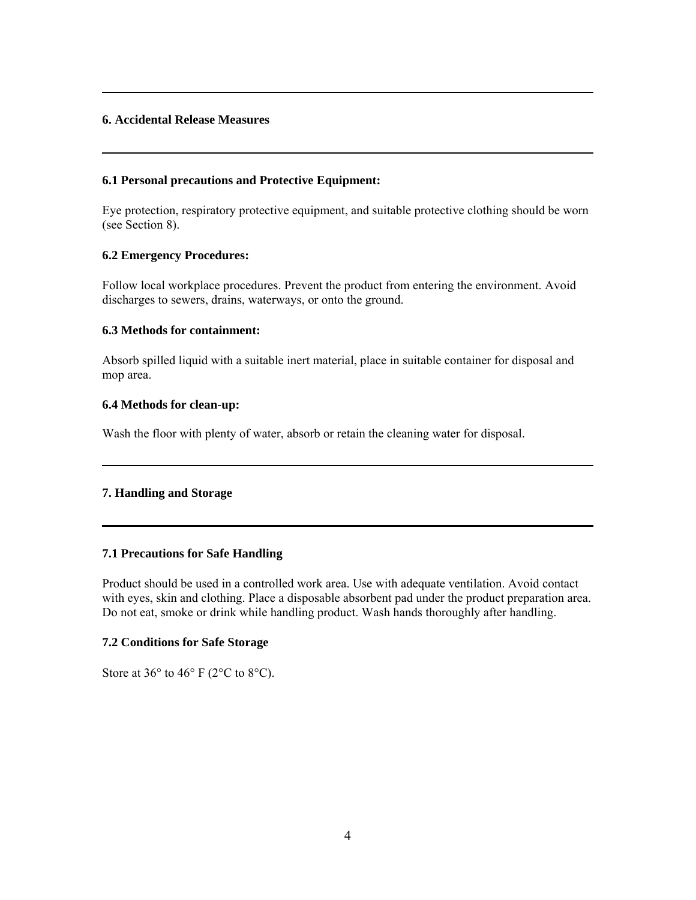# **6. Accidental Release Measures**

### **6.1 Personal precautions and Protective Equipment:**

Eye protection, respiratory protective equipment, and suitable protective clothing should be worn (see Section 8).

### **6.2 Emergency Procedures:**

Follow local workplace procedures. Prevent the product from entering the environment. Avoid discharges to sewers, drains, waterways, or onto the ground.

### **6.3 Methods for containment:**

Absorb spilled liquid with a suitable inert material, place in suitable container for disposal and mop area.

### **6.4 Methods for clean-up:**

Wash the floor with plenty of water, absorb or retain the cleaning water for disposal.

#### **7. Handling and Storage**

# **7.1 Precautions for Safe Handling**

Product should be used in a controlled work area. Use with adequate ventilation. Avoid contact with eyes, skin and clothing. Place a disposable absorbent pad under the product preparation area. Do not eat, smoke or drink while handling product. Wash hands thoroughly after handling.

# **7.2 Conditions for Safe Storage**

Store at  $36^{\circ}$  to  $46^{\circ}$  F (2°C to 8°C).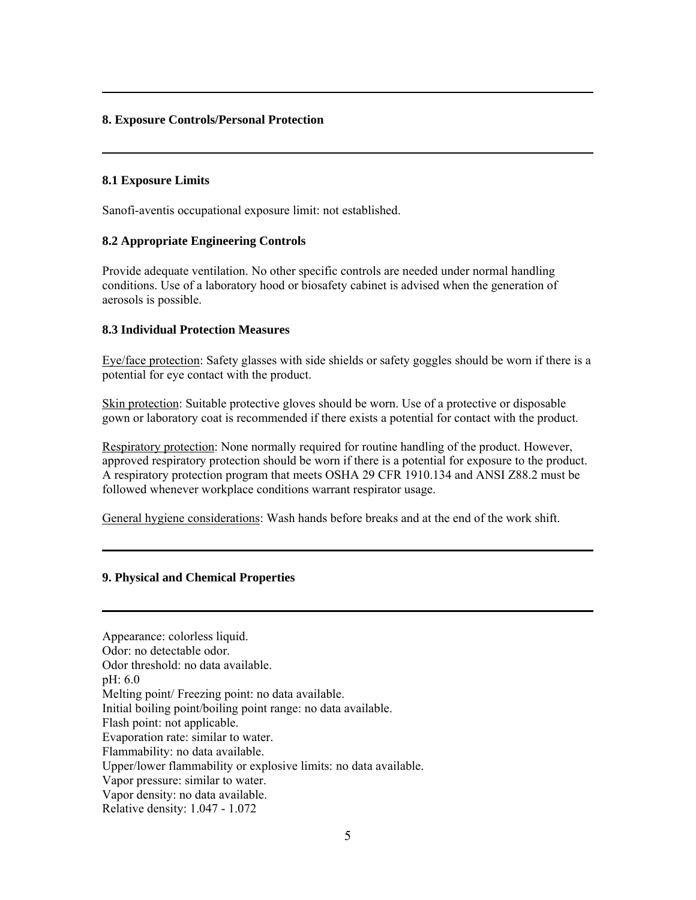# **8. Exposure Controls/Personal Protection**

### **8.1 Exposure Limits**

Sanofi-aventis occupational exposure limit: not established.

# **8.2 Appropriate Engineering Controls**

Provide adequate ventilation. No other specific controls are needed under normal handling conditions. Use of a laboratory hood or biosafety cabinet is advised when the generation of aerosols is possible.

### **8.3 Individual Protection Measures**

Eye/face protection: Safety glasses with side shields or safety goggles should be worn if there is a potential for eye contact with the product.

Skin protection: Suitable protective gloves should be worn. Use of a protective or disposable gown or laboratory coat is recommended if there exists a potential for contact with the product.

Respiratory protection: None normally required for routine handling of the product. However, approved respiratory protection should be worn if there is a potential for exposure to the product. A respiratory protection program that meets OSHA 29 CFR 1910.134 and ANSI Z88.2 must be followed whenever workplace conditions warrant respirator usage.

General hygiene considerations: Wash hands before breaks and at the end of the work shift.

#### **9. Physical and Chemical Properties**

Appearance: colorless liquid. Odor: no detectable odor. Odor threshold: no data available. pH: 6.0 Melting point/ Freezing point: no data available. Initial boiling point/boiling point range: no data available. Flash point: not applicable. Evaporation rate: similar to water. Flammability: no data available. Upper/lower flammability or explosive limits: no data available. Vapor pressure: similar to water. Vapor density: no data available. Relative density: 1.047 - 1.072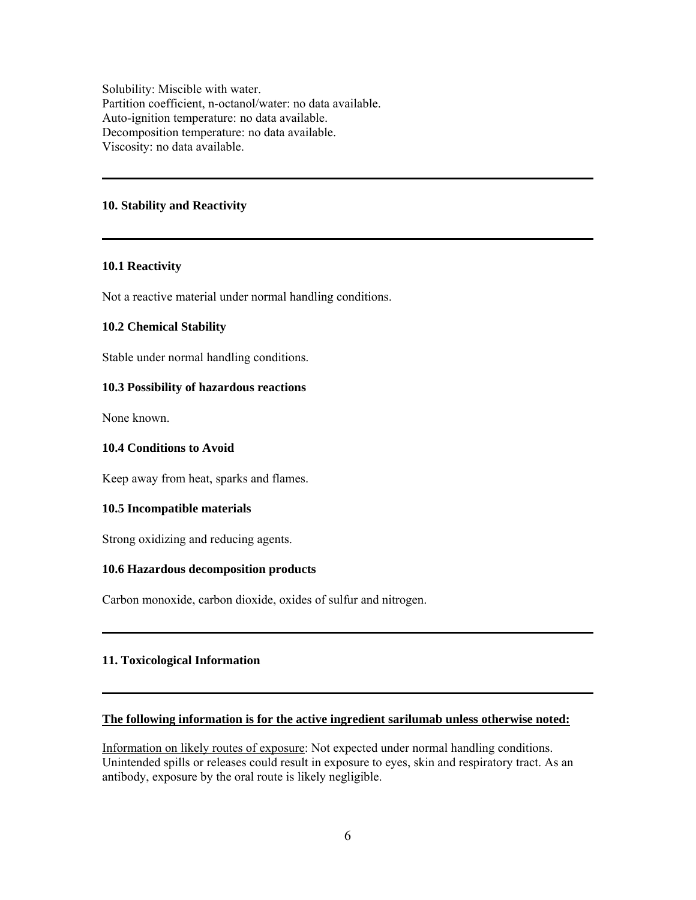Solubility: Miscible with water. Partition coefficient, n-octanol/water: no data available. Auto-ignition temperature: no data available. Decomposition temperature: no data available. Viscosity: no data available.

### **10. Stability and Reactivity**

### **10.1 Reactivity**

Not a reactive material under normal handling conditions.

### **10.2 Chemical Stability**

Stable under normal handling conditions.

# **10.3 Possibility of hazardous reactions**

None known.

#### **10.4 Conditions to Avoid**

Keep away from heat, sparks and flames.

### **10.5 Incompatible materials**

Strong oxidizing and reducing agents.

#### **10.6 Hazardous decomposition products**

Carbon monoxide, carbon dioxide, oxides of sulfur and nitrogen.

# **11. Toxicological Information**

### **The following information is for the active ingredient sarilumab unless otherwise noted:**

Information on likely routes of exposure: Not expected under normal handling conditions. Unintended spills or releases could result in exposure to eyes, skin and respiratory tract. As an antibody, exposure by the oral route is likely negligible.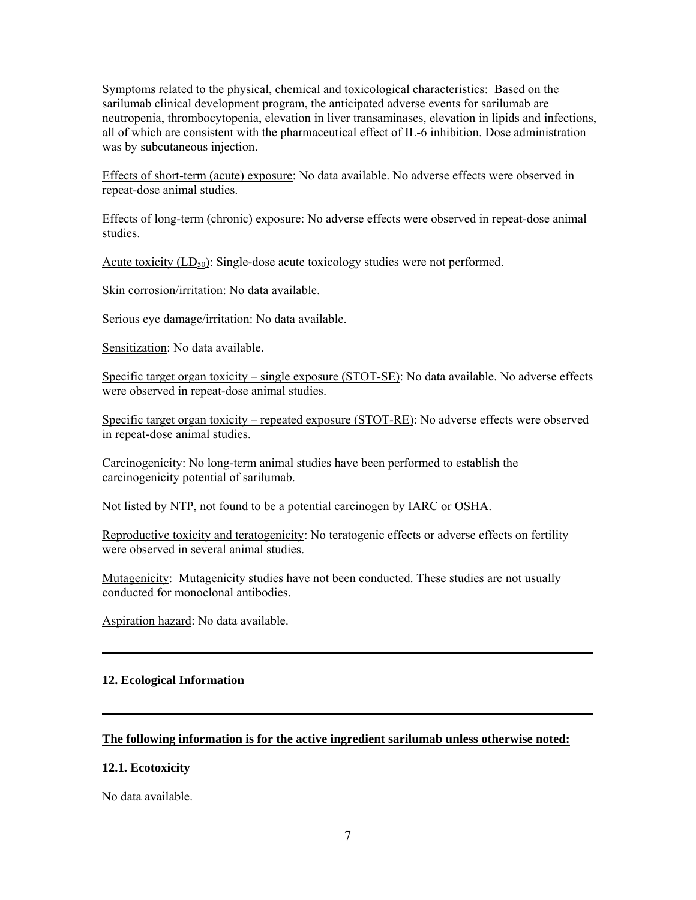Symptoms related to the physical, chemical and toxicological characteristics: Based on the sarilumab clinical development program, the anticipated adverse events for sarilumab are neutropenia, thrombocytopenia, elevation in liver transaminases, elevation in lipids and infections, all of which are consistent with the pharmaceutical effect of IL-6 inhibition. Dose administration was by subcutaneous injection.

Effects of short-term (acute) exposure: No data available. No adverse effects were observed in repeat-dose animal studies.

Effects of long-term (chronic) exposure: No adverse effects were observed in repeat-dose animal studies.

Acute toxicity  $(LD_{50})$ : Single-dose acute toxicology studies were not performed.

Skin corrosion/irritation: No data available.

Serious eye damage/irritation: No data available.

Sensitization: No data available.

Specific target organ toxicity – single exposure (STOT-SE): No data available. No adverse effects were observed in repeat-dose animal studies.

Specific target organ toxicity – repeated exposure (STOT-RE): No adverse effects were observed in repeat-dose animal studies.

Carcinogenicity: No long-term animal studies have been performed to establish the carcinogenicity potential of sarilumab.

Not listed by NTP, not found to be a potential carcinogen by IARC or OSHA.

Reproductive toxicity and teratogenicity: No teratogenic effects or adverse effects on fertility were observed in several animal studies.

Mutagenicity: Mutagenicity studies have not been conducted. These studies are not usually conducted for monoclonal antibodies.

Aspiration hazard: No data available.

#### **12. Ecological Information**

### **The following information is for the active ingredient sarilumab unless otherwise noted:**

#### **12.1. Ecotoxicity**

No data available.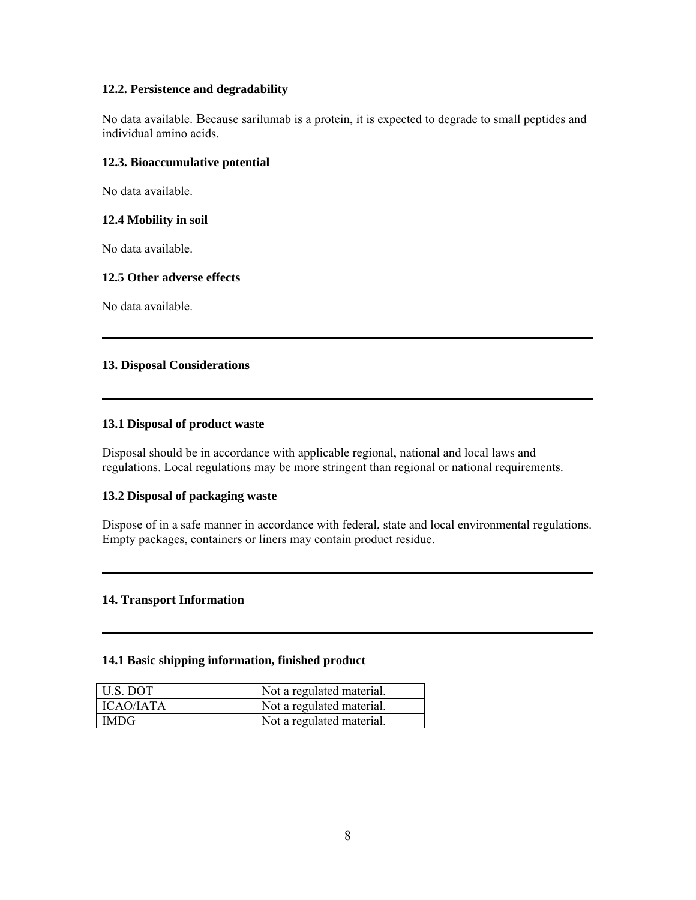# **12.2. Persistence and degradability**

No data available. Because sarilumab is a protein, it is expected to degrade to small peptides and individual amino acids.

# **12.3. Bioaccumulative potential**

No data available.

# **12.4 Mobility in soil**

No data available.

### **12.5 Other adverse effects**

No data available.

# **13. Disposal Considerations**

### **13.1 Disposal of product waste**

Disposal should be in accordance with applicable regional, national and local laws and regulations. Local regulations may be more stringent than regional or national requirements.

# **13.2 Disposal of packaging waste**

Dispose of in a safe manner in accordance with federal, state and local environmental regulations. Empty packages, containers or liners may contain product residue.

### **14. Transport Information**

#### **14.1 Basic shipping information, finished product**

| U.S. DOT         | Not a regulated material. |
|------------------|---------------------------|
| <b>ICAO/IATA</b> | Not a regulated material. |
| <b>IMDG</b>      | Not a regulated material. |